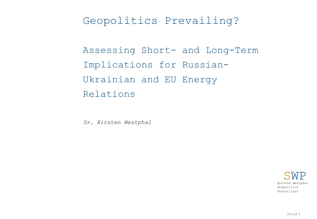# Geopolitics Prevailing?

Assessing Short- and Long-Term Implications for Russian-Ukrainian and EU Energy Relations

*Dr. Kirsten Westphal*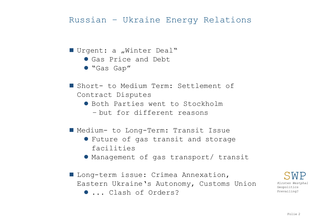## Russian – Ukraine Energy Relations

#### Urgent: a "Winter Deal"

- Gas Price and Debt
- "Gas Gap"
- Short- to Medium Term: Settlement of Contract Disputes
	- Both Parties went to Stockholm
		- but for different reasons
- Medium- to Long-Term: Transit Issue
	- Future of gas transit and storage facilities
	- Management of gas transport/ transit
- **Long-term issue: Crimea Annexation,** Eastern Ukraine's Autonomy, Customs Union ... Clash of Orders?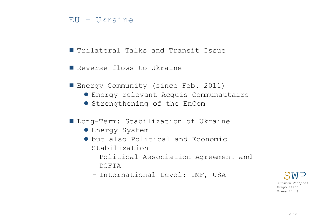#### EU - Ukraine

- **I** Trilateral Talks and Transit Issue
- Reverse flows to Ukraine
- Energy Community (since Feb. 2011)
	- Energy relevant Acquis Communautaire
	- **Strengthening of the EnCom**
- **Long-Term: Stabilization of Ukraine** 
	- **Energy System**
	- but also Political and Economic Stabilization
		- Political Association Agreement and DCFTA
		- International Level: IMF, USA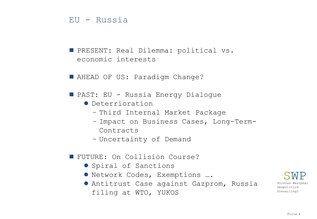#### EU - Russia

**PRESENT: Real Dilemma: political vs.** economic interests

■ AHEAD OF US: Paradigm Change?

PAST: EU - Russia Energy Dialogue

- Deterrioration
	- Third Internal Market Package
	- Impact on Business Cases, Long-Term-Contracts
	- Uncertainty of Demand
- FUTURE: On Collision Course?
	- Spiral of Sanctions
	- Network Codes, Exemptions ….
	- Antitrust Case against Gazprom, Russia filing at WTO, YUKOS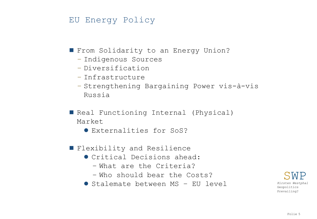### EU Energy Policy

**From Solidarity to an Energy Union?** 

- Indigenous Sources
- Diversification
- Infrastructure
- Strengthening Bargaining Power vis-à-vis Russia

■ Real Functioning Internal (Physical) Market

Externalities for SoS?

- **Flexibility and Resilience** 
	- Critical Decisions ahead:
		- What are the Criteria?
		- Who should bear the Costs?
	- Stalemate between MS EU level